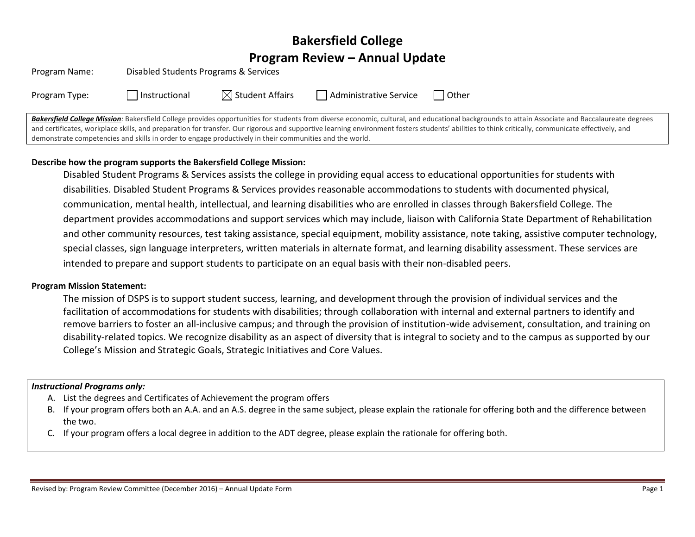# **Bakersfield College Program Review – Annual Update**

| Program Name: | Disabled Students Programs & Services |                           |                        |       |
|---------------|---------------------------------------|---------------------------|------------------------|-------|
| Program Type: | Instructional                         | $\bowtie$ Student Affairs | Administrative Service | Other |

Bakersfield College Mission: Bakersfield College provides opportunities for students from diverse economic, cultural, and educational backgrounds to attain Associate and Baccalaureate degrees and certificates, workplace skills, and preparation for transfer. Our rigorous and supportive learning environment fosters students' abilities to think critically, communicate effectively, and demonstrate competencies and skills in order to engage productively in their communities and the world.

## **Describe how the program supports the Bakersfield College Mission:**

Disabled Student Programs & Services assists the college in providing equal access to educational opportunities for students with disabilities. Disabled Student Programs & Services provides reasonable accommodations to students with documented physical, communication, mental health, intellectual, and learning disabilities who are enrolled in classes through Bakersfield College. The department provides accommodations and support services which may include, liaison with California State Department of Rehabilitation and other community resources, test taking assistance, special equipment, mobility assistance, note taking, assistive computer technology, special classes, sign language interpreters, written materials in alternate format, and learning disability assessment. These services are intended to prepare and support students to participate on an equal basis with their non-disabled peers.

#### **Program Mission Statement:**

The mission of DSPS is to support student success, learning, and development through the provision of individual services and the facilitation of accommodations for students with disabilities; through collaboration with internal and external partners to identify and remove barriers to foster an all-inclusive campus; and through the provision of institution-wide advisement, consultation, and training on disability-related topics. We recognize disability as an aspect of diversity that is integral to society and to the campus as supported by our College's Mission and Strategic Goals, Strategic Initiatives and Core Values.

#### *Instructional Programs only:*

- A. List the degrees and Certificates of Achievement the program offers
- B. If your program offers both an A.A. and an A.S. degree in the same subject, please explain the rationale for offering both and the difference between the two.
- C. If your program offers a local degree in addition to the ADT degree, please explain the rationale for offering both.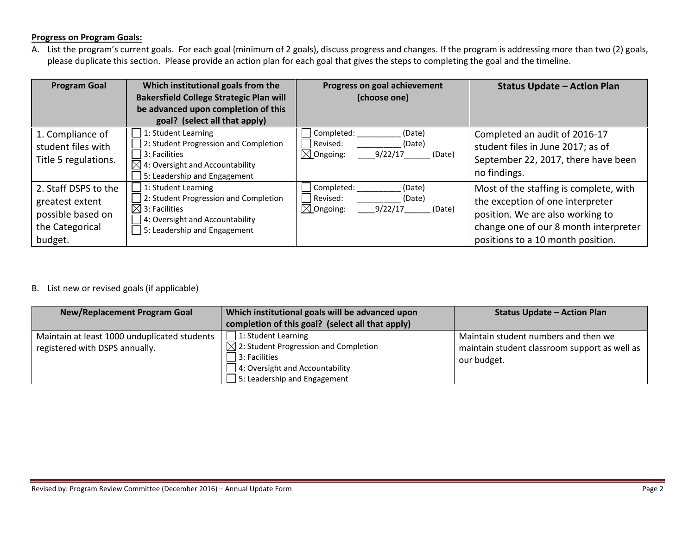#### **Progress on Program Goals:**

A. List the program's current goals. For each goal (minimum of 2 goals), discuss progress and changes. If the program is addressing more than two (2) goals, please duplicate this section. Please provide an action plan for each goal that gives the steps to completing the goal and the timeline.

| <b>Program Goal</b>                                                                        | Which institutional goals from the<br><b>Bakersfield College Strategic Plan will</b><br>be advanced upon completion of this<br>goal? (select all that apply)   | Progress on goal achievement<br>(choose one)                                            | <b>Status Update - Action Plan</b>                                                                                                                                                           |
|--------------------------------------------------------------------------------------------|----------------------------------------------------------------------------------------------------------------------------------------------------------------|-----------------------------------------------------------------------------------------|----------------------------------------------------------------------------------------------------------------------------------------------------------------------------------------------|
| 1. Compliance of<br>student files with<br>Title 5 regulations.                             | 1: Student Learning<br>2: Student Progression and Completion<br>3: Facilities<br>4: Oversight and Accountability<br>5: Leadership and Engagement               | Completed:<br>(Date)<br>Revised:<br>(Date)<br>$\boxtimes$ Ongoing:<br>9/22/17<br>(Date) | Completed an audit of 2016-17<br>student files in June 2017; as of<br>September 22, 2017, there have been<br>no findings.                                                                    |
| 2. Staff DSPS to the<br>greatest extent<br>possible based on<br>the Categorical<br>budget. | 1: Student Learning<br>2: Student Progression and Completion<br>$\boxtimes$ l 3: Facilities<br>4: Oversight and Accountability<br>5: Leadership and Engagement | Completed:<br>(Date)<br>Revised:<br>(Date)<br>$\boxtimes$ Ongoing:<br>9/22/17<br>(Date) | Most of the staffing is complete, with<br>the exception of one interpreter<br>position. We are also working to<br>change one of our 8 month interpreter<br>positions to a 10 month position. |

## B. List new or revised goals (if applicable)

| <b>New/Replacement Program Goal</b>                                            | Which institutional goals will be advanced upon<br>completion of this goal? (select all that apply)                                                                 | <b>Status Update - Action Plan</b>                                                                   |
|--------------------------------------------------------------------------------|---------------------------------------------------------------------------------------------------------------------------------------------------------------------|------------------------------------------------------------------------------------------------------|
| Maintain at least 1000 unduplicated students<br>registered with DSPS annually. | 1: Student Learning<br>$\boxtimes$ 2: Student Progression and Completion<br>3: Facilities<br>4: Oversight and Accountability<br>$\Box$ 5: Leadership and Engagement | Maintain student numbers and then we<br>maintain student classroom support as well as<br>our budget. |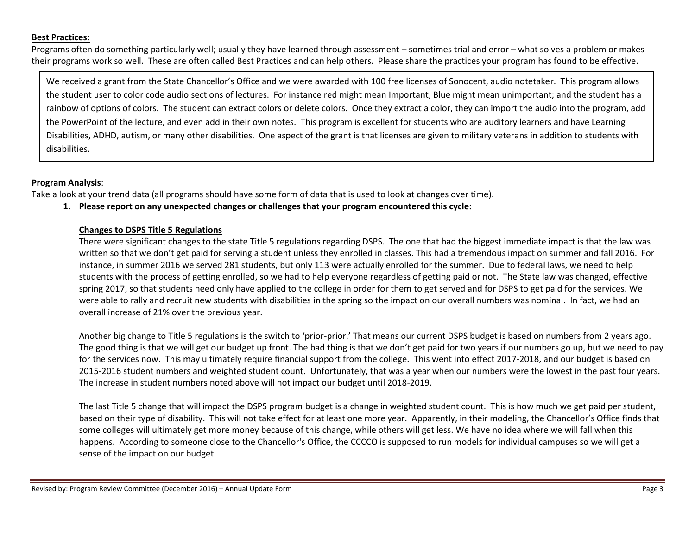#### **Best Practices:**

Programs often do something particularly well; usually they have learned through assessment – sometimes trial and error – what solves a problem or makes their programs work so well. These are often called Best Practices and can help others. Please share the practices your program has found to be effective.

We received a grant from the State Chancellor's Office and we were awarded with 100 free licenses of Sonocent, audio notetaker. This program allows the student user to color code audio sections of lectures. For instance red might mean Important, Blue might mean unimportant; and the student has a rainbow of options of colors. The student can extract colors or delete colors. Once they extract a color, they can import the audio into the program, add the PowerPoint of the lecture, and even add in their own notes. This program is excellent for students who are auditory learners and have Learning Disabilities, ADHD, autism, or many other disabilities. One aspect of the grant is that licenses are given to military veterans in addition to students with disabilities.

#### **Program Analysis**:

Take a look at your trend data (all programs should have some form of data that is used to look at changes over time).

**1. Please report on any unexpected changes or challenges that your program encountered this cycle:**

#### **Changes to DSPS Title 5 Regulations**

There were significant changes to the state Title 5 regulations regarding DSPS. The one that had the biggest immediate impact is that the law was written so that we don't get paid for serving a student unless they enrolled in classes. This had a tremendous impact on summer and fall 2016. For instance, in summer 2016 we served 281 students, but only 113 were actually enrolled for the summer. Due to federal laws, we need to help students with the process of getting enrolled, so we had to help everyone regardless of getting paid or not. The State law was changed, effective spring 2017, so that students need only have applied to the college in order for them to get served and for DSPS to get paid for the services. We were able to rally and recruit new students with disabilities in the spring so the impact on our overall numbers was nominal. In fact, we had an overall increase of 21% over the previous year.

Another big change to Title 5 regulations is the switch to 'prior-prior.' That means our current DSPS budget is based on numbers from 2 years ago. The good thing is that we will get our budget up front. The bad thing is that we don't get paid for two years if our numbers go up, but we need to pay for the services now. This may ultimately require financial support from the college. This went into effect 2017-2018, and our budget is based on 2015-2016 student numbers and weighted student count. Unfortunately, that was a year when our numbers were the lowest in the past four years. The increase in student numbers noted above will not impact our budget until 2018-2019.

The last Title 5 change that will impact the DSPS program budget is a change in weighted student count. This is how much we get paid per student, based on their type of disability. This will not take effect for at least one more year. Apparently, in their modeling, the Chancellor's Office finds that some colleges will ultimately get more money because of this change, while others will get less. We have no idea where we will fall when this happens. According to someone close to the Chancellor's Office, the CCCCO is supposed to run models for individual campuses so we will get a sense of the impact on our budget.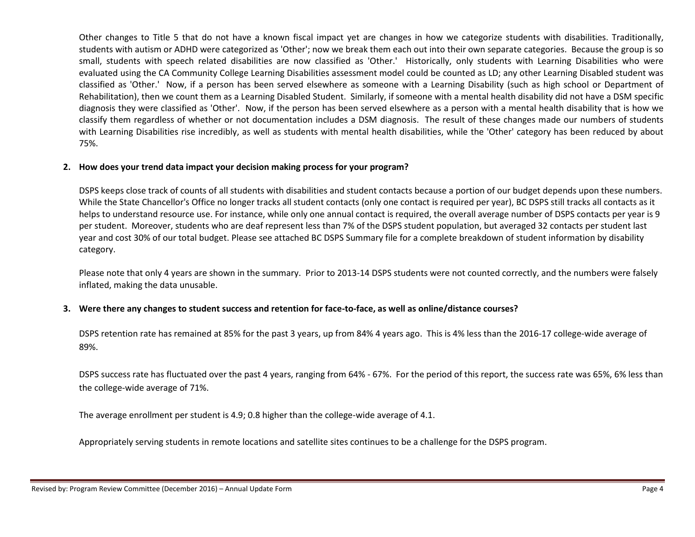Other changes to Title 5 that do not have a known fiscal impact yet are changes in how we categorize students with disabilities. Traditionally, students with autism or ADHD were categorized as 'Other'; now we break them each out into their own separate categories. Because the group is so small, students with speech related disabilities are now classified as 'Other.' Historically, only students with Learning Disabilities who were evaluated using the CA Community College Learning Disabilities assessment model could be counted as LD; any other Learning Disabled student was classified as 'Other.' Now, if a person has been served elsewhere as someone with a Learning Disability (such as high school or Department of Rehabilitation), then we count them as a Learning Disabled Student. Similarly, if someone with a mental health disability did not have a DSM specific diagnosis they were classified as 'Other'. Now, if the person has been served elsewhere as a person with a mental health disability that is how we classify them regardless of whether or not documentation includes a DSM diagnosis. The result of these changes made our numbers of students with Learning Disabilities rise incredibly, as well as students with mental health disabilities, while the 'Other' category has been reduced by about 75%.

#### **2. How does your trend data impact your decision making process for your program?**

DSPS keeps close track of counts of all students with disabilities and student contacts because a portion of our budget depends upon these numbers. While the State Chancellor's Office no longer tracks all student contacts (only one contact is required per year), BC DSPS still tracks all contacts as it helps to understand resource use. For instance, while only one annual contact is required, the overall average number of DSPS contacts per year is 9 per student. Moreover, students who are deaf represent less than 7% of the DSPS student population, but averaged 32 contacts per student last year and cost 30% of our total budget. Please see attached BC DSPS Summary file for a complete breakdown of student information by disability category.

Please note that only 4 years are shown in the summary. Prior to 2013-14 DSPS students were not counted correctly, and the numbers were falsely inflated, making the data unusable.

### **3. Were there any changes to student success and retention for face-to-face, as well as online/distance courses?**

DSPS retention rate has remained at 85% for the past 3 years, up from 84% 4 years ago. This is 4% less than the 2016-17 college-wide average of 89%.

DSPS success rate has fluctuated over the past 4 years, ranging from 64% - 67%. For the period of this report, the success rate was 65%, 6% less than the college-wide average of 71%.

The average enrollment per student is 4.9; 0.8 higher than the college-wide average of 4.1.

Appropriately serving students in remote locations and satellite sites continues to be a challenge for the DSPS program.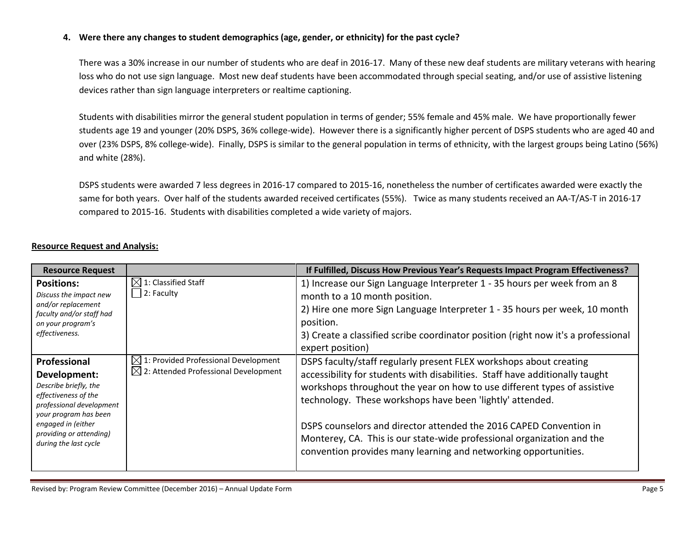#### **4. Were there any changes to student demographics (age, gender, or ethnicity) for the past cycle?**

There was a 30% increase in our number of students who are deaf in 2016-17. Many of these new deaf students are military veterans with hearing loss who do not use sign language. Most new deaf students have been accommodated through special seating, and/or use of assistive listening devices rather than sign language interpreters or realtime captioning.

Students with disabilities mirror the general student population in terms of gender; 55% female and 45% male. We have proportionally fewer students age 19 and younger (20% DSPS, 36% college-wide). However there is a significantly higher percent of DSPS students who are aged 40 and over (23% DSPS, 8% college-wide). Finally, DSPS is similar to the general population in terms of ethnicity, with the largest groups being Latino (56%) and white (28%).

DSPS students were awarded 7 less degrees in 2016-17 compared to 2015-16, nonetheless the number of certificates awarded were exactly the same for both years. Over half of the students awarded received certificates (55%). Twice as many students received an AA-T/AS-T in 2016-17 compared to 2015-16. Students with disabilities completed a wide variety of majors.

| <b>Resource Request</b>                                                                                                                                                                                      |                                                                                                      | If Fulfilled, Discuss How Previous Year's Requests Impact Program Effectiveness?                                                                                                                                                                                                                                                                                                                                                                                                                               |
|--------------------------------------------------------------------------------------------------------------------------------------------------------------------------------------------------------------|------------------------------------------------------------------------------------------------------|----------------------------------------------------------------------------------------------------------------------------------------------------------------------------------------------------------------------------------------------------------------------------------------------------------------------------------------------------------------------------------------------------------------------------------------------------------------------------------------------------------------|
| <b>Positions:</b><br>Discuss the impact new<br>and/or replacement<br>faculty and/or staff had<br>on your program's<br>effectiveness.                                                                         | $\boxtimes$ 1: Classified Staff<br>$2:$ Faculty                                                      | 1) Increase our Sign Language Interpreter 1 - 35 hours per week from an 8<br>month to a 10 month position.<br>2) Hire one more Sign Language Interpreter 1 - 35 hours per week, 10 month<br>position.<br>3) Create a classified scribe coordinator position (right now it's a professional<br>expert position)                                                                                                                                                                                                 |
| Professional<br>Development:<br>Describe briefly, the<br>effectiveness of the<br>professional development<br>your program has been<br>engaged in (either<br>providing or attending)<br>during the last cycle | $\boxtimes$ 1: Provided Professional Development<br>$\boxtimes$ 2: Attended Professional Development | DSPS faculty/staff regularly present FLEX workshops about creating<br>accessibility for students with disabilities. Staff have additionally taught<br>workshops throughout the year on how to use different types of assistive<br>technology. These workshops have been 'lightly' attended.<br>DSPS counselors and director attended the 2016 CAPED Convention in<br>Monterey, CA. This is our state-wide professional organization and the<br>convention provides many learning and networking opportunities. |

## **Resource Request and Analysis:**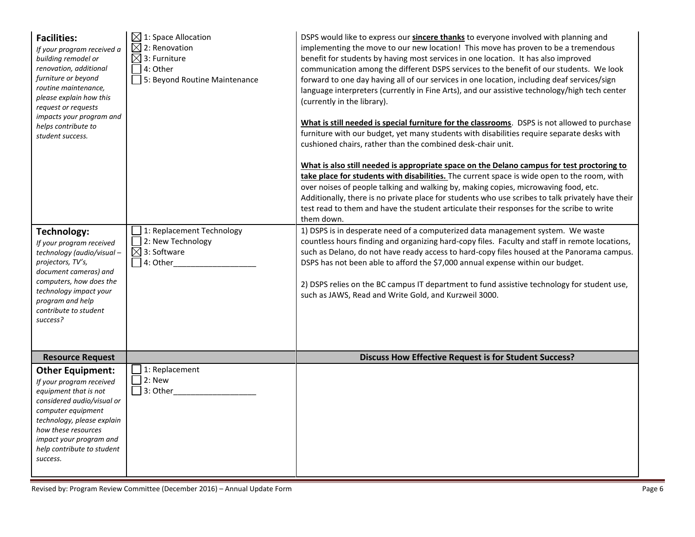| <b>Facilities:</b><br>If your program received a<br>building remodel or<br>renovation, additional<br>furniture or beyond<br>routine maintenance,<br>please explain how this<br>request or requests<br>impacts your program and<br>helps contribute to<br>student success. | $\boxtimes$ 1: Space Allocation<br>$\boxtimes$ 2: Renovation<br>$\boxtimes$ 3: Furniture<br>4: Other<br>5: Beyond Routine Maintenance | DSPS would like to express our sincere thanks to everyone involved with planning and<br>implementing the move to our new location! This move has proven to be a tremendous<br>benefit for students by having most services in one location. It has also improved<br>communication among the different DSPS services to the benefit of our students. We look<br>forward to one day having all of our services in one location, including deaf services/sign<br>language interpreters (currently in Fine Arts), and our assistive technology/high tech center<br>(currently in the library).<br>What is still needed is special furniture for the classrooms. DSPS is not allowed to purchase<br>furniture with our budget, yet many students with disabilities require separate desks with<br>cushioned chairs, rather than the combined desk-chair unit.<br>What is also still needed is appropriate space on the Delano campus for test proctoring to<br>take place for students with disabilities. The current space is wide open to the room, with<br>over noises of people talking and walking by, making copies, microwaving food, etc.<br>Additionally, there is no private place for students who use scribes to talk privately have their<br>test read to them and have the student articulate their responses for the scribe to write<br>them down. |
|---------------------------------------------------------------------------------------------------------------------------------------------------------------------------------------------------------------------------------------------------------------------------|---------------------------------------------------------------------------------------------------------------------------------------|--------------------------------------------------------------------------------------------------------------------------------------------------------------------------------------------------------------------------------------------------------------------------------------------------------------------------------------------------------------------------------------------------------------------------------------------------------------------------------------------------------------------------------------------------------------------------------------------------------------------------------------------------------------------------------------------------------------------------------------------------------------------------------------------------------------------------------------------------------------------------------------------------------------------------------------------------------------------------------------------------------------------------------------------------------------------------------------------------------------------------------------------------------------------------------------------------------------------------------------------------------------------------------------------------------------------------------------------------------------|
| Technology:<br>If your program received<br>technology (audio/visual-<br>projectors, TV's,<br>document cameras) and<br>computers, how does the<br>technology impact your<br>program and help<br>contribute to student<br>success?                                          | 1: Replacement Technology<br>2: New Technology<br>$\boxtimes$ 3: Software<br>4: Other                                                 | 1) DSPS is in desperate need of a computerized data management system. We waste<br>countless hours finding and organizing hard-copy files. Faculty and staff in remote locations,<br>such as Delano, do not have ready access to hard-copy files housed at the Panorama campus.<br>DSPS has not been able to afford the \$7,000 annual expense within our budget.<br>2) DSPS relies on the BC campus IT department to fund assistive technology for student use,<br>such as JAWS, Read and Write Gold, and Kurzweil 3000.                                                                                                                                                                                                                                                                                                                                                                                                                                                                                                                                                                                                                                                                                                                                                                                                                                    |
| <b>Resource Request</b>                                                                                                                                                                                                                                                   |                                                                                                                                       | <b>Discuss How Effective Request is for Student Success?</b>                                                                                                                                                                                                                                                                                                                                                                                                                                                                                                                                                                                                                                                                                                                                                                                                                                                                                                                                                                                                                                                                                                                                                                                                                                                                                                 |
| <b>Other Equipment:</b><br>If your program received<br>equipment that is not<br>considered audio/visual or<br>computer equipment<br>technology, please explain<br>how these resources<br>impact your program and<br>help contribute to student<br>success.                | 1: Replacement<br>2: New<br>$3:$ Other                                                                                                |                                                                                                                                                                                                                                                                                                                                                                                                                                                                                                                                                                                                                                                                                                                                                                                                                                                                                                                                                                                                                                                                                                                                                                                                                                                                                                                                                              |

Revised by: Program Review Committee (December 2016) – Annual Update Form **Page 6**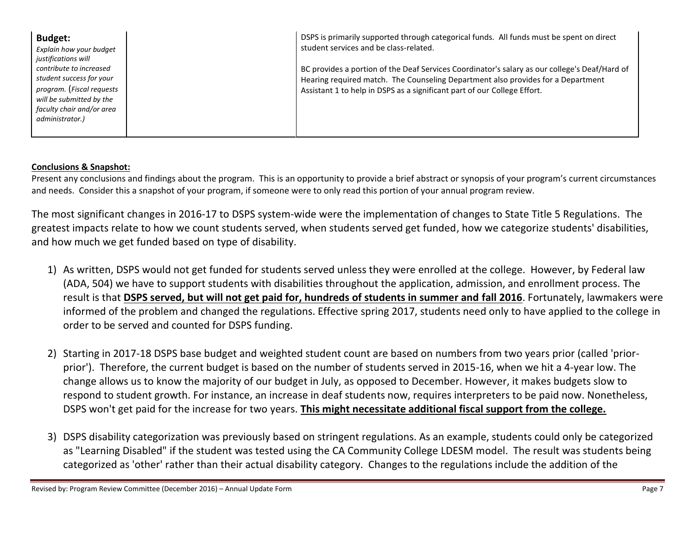| <b>Budget:</b>                                        | DSPS is primarily supported through categorical funds. All funds must be spent on direct      |
|-------------------------------------------------------|-----------------------------------------------------------------------------------------------|
| Explain how your budget                               | student services and be class-related.                                                        |
| justifications will<br>contribute to increased        | BC provides a portion of the Deaf Services Coordinator's salary as our college's Deaf/Hard of |
| student success for your                              | Hearing required match. The Counseling Department also provides for a Department              |
| program. (Fiscal requests<br>will be submitted by the | Assistant 1 to help in DSPS as a significant part of our College Effort.                      |
| faculty chair and/or area                             |                                                                                               |
| administrator.)                                       |                                                                                               |
|                                                       |                                                                                               |

## **Conclusions & Snapshot:**

Present any conclusions and findings about the program. This is an opportunity to provide a brief abstract or synopsis of your program's current circumstances and needs. Consider this a snapshot of your program, if someone were to only read this portion of your annual program review.

The most significant changes in 2016-17 to DSPS system-wide were the implementation of changes to State Title 5 Regulations. The greatest impacts relate to how we count students served, when students served get funded, how we categorize students' disabilities, and how much we get funded based on type of disability.

- 1) As written, DSPS would not get funded for students served unless they were enrolled at the college. However, by Federal law (ADA, 504) we have to support students with disabilities throughout the application, admission, and enrollment process. The result is that **DSPS served, but will not get paid for, hundreds of students in summer and fall 2016**. Fortunately, lawmakers were informed of the problem and changed the regulations. Effective spring 2017, students need only to have applied to the college in order to be served and counted for DSPS funding.
- 2) Starting in 2017-18 DSPS base budget and weighted student count are based on numbers from two years prior (called 'priorprior'). Therefore, the current budget is based on the number of students served in 2015-16, when we hit a 4-year low. The change allows us to know the majority of our budget in July, as opposed to December. However, it makes budgets slow to respond to student growth. For instance, an increase in deaf students now, requires interpreters to be paid now. Nonetheless, DSPS won't get paid for the increase for two years. **This might necessitate additional fiscal support from the college.**
- 3) DSPS disability categorization was previously based on stringent regulations. As an example, students could only be categorized as "Learning Disabled" if the student was tested using the CA Community College LDESM model. The result was students being categorized as 'other' rather than their actual disability category. Changes to the regulations include the addition of the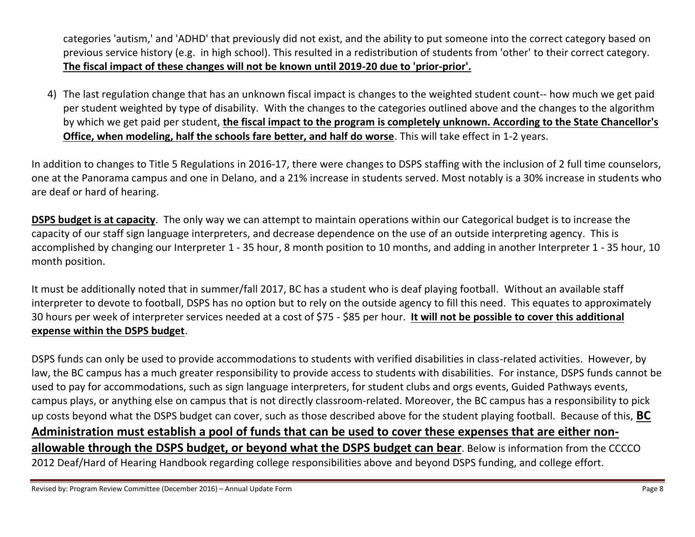categories 'autism,' and 'ADHD' that previously did not exist, and the ability to put someone into the correct category based on previous service history (e.g. in high school). This resulted in a redistribution of students from 'other' to their correct category. **The fiscal impact of these changes will not be known until 2019-20 due to 'prior-prior'.**

4) The last regulation change that has an unknown fiscal impact is changes to the weighted student count-- how much we get paid per student weighted by type of disability. With the changes to the categories outlined above and the changes to the algorithm by which we get paid per student, **the fiscal impact to the program is completely unknown. According to the State Chancellor's Office, when modeling, half the schools fare better, and half do worse**. This will take effect in 1-2 years.

In addition to changes to Title 5 Regulations in 2016-17, there were changes to DSPS staffing with the inclusion of 2 full time counselors, one at the Panorama campus and one in Delano, and a 21% increase in students served. Most notably is a 30% increase in students who are deaf or hard of hearing.

**DSPS budget is at capacity**. The only way we can attempt to maintain operations within our Categorical budget is to increase the capacity of our staff sign language interpreters, and decrease dependence on the use of an outside interpreting agency. This is accomplished by changing our Interpreter 1 - 35 hour, 8 month position to 10 months, and adding in another Interpreter 1 - 35 hour, 10 month position.

It must be additionally noted that in summer/fall 2017, BC has a student who is deaf playing football. Without an available staff interpreter to devote to football, DSPS has no option but to rely on the outside agency to fill this need. This equates to approximately 30 hours per week of interpreter services needed at a cost of \$75 - \$85 per hour. **It will not be possible to cover this additional expense within the DSPS budget**.

DSPS funds can only be used to provide accommodations to students with verified disabilities in class-related activities. However, by law, the BC campus has a much greater responsibility to provide access to students with disabilities. For instance, DSPS funds cannot be used to pay for accommodations, such as sign language interpreters, for student clubs and orgs events, Guided Pathways events, campus plays, or anything else on campus that is not directly classroom-related. Moreover, the BC campus has a responsibility to pick up costs beyond what the DSPS budget can cover, such as those described above for the student playing football. Because of this, **BC Administration must establish a pool of funds that can be used to cover these expenses that are either nonallowable through the DSPS budget, or beyond what the DSPS budget can bear**. Below is information from the CCCCO 2012 Deaf/Hard of Hearing Handbook regarding college responsibilities above and beyond DSPS funding, and college effort.